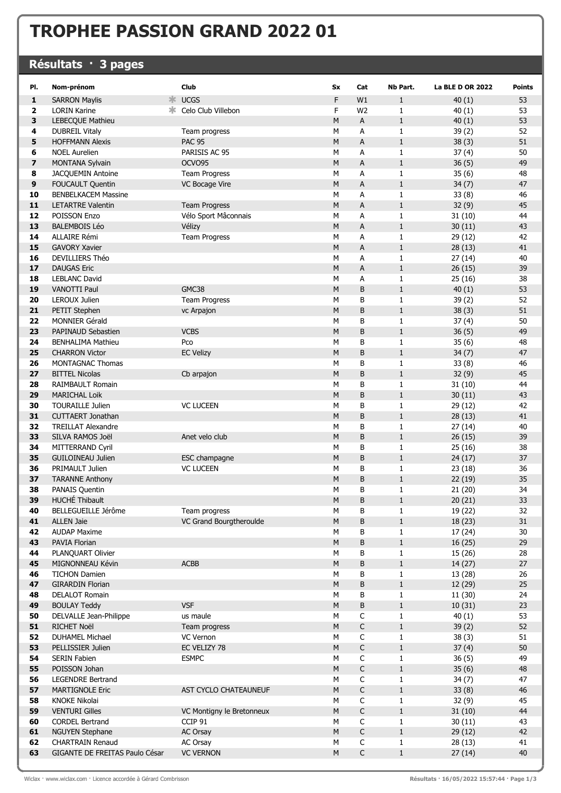## TROPHEE PASSION GRAND 2022 01

## Résultats · 3 pages

| PI.      | Nom-prénom                               | <b>Club</b>                              | Sx        | Cat            | Nb Part.          | <b>La BLE D OR 2022</b> | <b>Points</b> |
|----------|------------------------------------------|------------------------------------------|-----------|----------------|-------------------|-------------------------|---------------|
| 1        | ≭ো<br><b>SARRON Maylis</b>               | <b>UCGS</b>                              | F         | W1             | $\mathbf{1}$      | 40(1)                   | 53            |
| 2        | ж<br><b>LORIN Karine</b>                 | Celo Club Villebon                       | F         | W <sub>2</sub> | $\mathbf{1}$      | 40(1)                   | 53            |
| 3        | <b>LEBECQUE Mathieu</b>                  |                                          | М         | А              | $\mathbf{1}$      | 40(1)                   | 53            |
| 4        | <b>DUBREIL Vitaly</b>                    | Team progress                            | М         | А              | $\mathbf{1}$      | 39(2)                   | 52            |
| 5        | <b>HOFFMANN Alexis</b>                   | <b>PAC 95</b>                            | M         | A              | $\mathbf{1}$      | 38(3)                   | 51            |
| 6        | <b>NOEL Aurelien</b>                     | PARISIS AC 95                            | M         | А              | $\mathbf{1}$      | 37(4)                   | 50            |
| 7        | MONTANA Sylvain                          | OCVO95                                   | M         | A              | $\mathbf{1}$      | 36(5)                   | 49            |
| 8        | JACQUEMIN Antoine                        | <b>Team Progress</b>                     | M         | А              | $\mathbf{1}$      | 35(6)                   | 48            |
| 9        | <b>FOUCAULT Quentin</b>                  | VC Bocage Vire                           | ${\sf M}$ | А              | $\mathbf{1}$      | 34(7)                   | 47            |
| 10       | <b>BENBELKACEM Massine</b>               |                                          | М         | А              | $\mathbf{1}$      | 33(8)                   | 46            |
| 11       | <b>LETARTRE Valentin</b>                 | <b>Team Progress</b>                     | M         | А              | $\mathbf{1}$      | 32(9)                   | 45            |
| 12       | POISSON Enzo                             | Vélo Sport Mâconnais                     | М         | А              | $\mathbf{1}$      | 31(10)                  | 44            |
| 13       | <b>BALEMBOIS Léo</b>                     | Vélizy                                   | M         | А              | $\mathbf{1}$      | 30(11)                  | 43            |
| 14       | ALLAIRE Rémi                             | <b>Team Progress</b>                     | M         | А              | $\mathbf{1}$      | 29(12)                  | 42            |
| 15       | <b>GAVORY Xavier</b>                     |                                          | M         | A              | $\mathbf 1$       | 28(13)                  | 41            |
| 16       | DEVILLIERS Théo                          |                                          | M         | A              | $\mathbf{1}$      | 27(14)                  | 40            |
| 17       | <b>DAUGAS Eric</b>                       |                                          | M         | A              | $\mathbf{1}$      | 26(15)                  | 39            |
| 18       | <b>LEBLANC David</b>                     |                                          | М         | А              | $\mathbf{1}$      | 25(16)                  | 38            |
| 19       | VANOTTI Paul                             | GMC38                                    | M         | B              | $\mathbf{1}$      | 40(1)                   | 53            |
| 20       | <b>LEROUX Julien</b>                     | <b>Team Progress</b>                     | M         | B              | $\mathbf{1}$      | 39(2)                   | 52            |
| 21       | PETIT Stephen                            | vc Arpajon                               | M         | B              | $\mathbf{1}$      | 38(3)                   | 51            |
| 22       | <b>MONNIER Gérald</b>                    |                                          | M         | В              | $\mathbf{1}$      | 37(4)                   | 50            |
| 23       | <b>PAPINAUD Sebastien</b>                | <b>VCBS</b>                              | M         | B              | $\mathbf 1$       | 36(5)                   | 49            |
| 24       | <b>BENHALIMA Mathieu</b>                 | Pco                                      | M         | В              | $\mathbf{1}$      | 35(6)                   | 48            |
| 25       | <b>CHARRON Victor</b>                    | <b>EC Velizy</b>                         | M         | B              | $\mathbf{1}$      | 34(7)                   | 47            |
| 26       | <b>MONTAGNAC Thomas</b>                  |                                          | М         | В              | $\mathbf{1}$      | 33(8)                   | 46            |
| 27       | <b>BITTEL Nicolas</b>                    | Cb arpajon                               | M         | B              | $\mathbf{1}$      | 32(9)                   | 45            |
| 28       | RAIMBAULT Romain                         |                                          | M         | B              | $\mathbf{1}$      | 31(10)                  | 44            |
| 29       | <b>MARICHAL Loik</b>                     |                                          | M         | B              | $\mathbf{1}$      | 30(11)                  | 43            |
| 30       | <b>TOURAILLE Julien</b>                  | <b>VC LUCEEN</b>                         | M         | B              | $\mathbf{1}$      | 29(12)                  | 42            |
| 31       | <b>CUTTAERT Jonathan</b>                 |                                          | M         | B              | $\mathbf{1}$      | 28(13)                  | 41            |
| 32       | <b>TREILLAT Alexandre</b>                |                                          | М         | В              | $\mathbf{1}$      | 27(14)                  | 40            |
| 33       | SILVA RAMOS Joël                         | Anet velo club                           | M         | B              | $\mathbf{1}$      | 26(15)                  | 39            |
| 34       | MITTERRAND Cyril                         |                                          | М         | B              | 1                 | 25(16)                  | 38            |
| 35       | <b>GUILOINEAU Julien</b>                 | ESC champagne                            | M         | B              | $\mathbf{1}$      | 24(17)                  | 37            |
| 36       | PRIMAULT Julien                          | <b>VC LUCEEN</b>                         | M         | B              | $\mathbf{1}$      | 23(18)                  | 36            |
| 37<br>38 | <b>TARANNE Anthony</b>                   |                                          | M<br>M    | B<br>B         | $\mathbf{1}$      | 22(19)                  | 35<br>34      |
| 39       | PANAIS Quentin<br>HUCHÉ Thibault         |                                          |           | B              | $\mathbf{1}$      | 21(20)                  |               |
|          |                                          |                                          | M         |                | $\mathbf{1}$      | 20(21)                  | 33            |
| 40<br>41 | BELLEGUEILLE Jérôme<br><b>ALLEN Jaie</b> | Team progress<br>VC Grand Bourgtheroulde | М<br>М    | В<br>В         | 1<br>$\mathbf{1}$ | 19 (22)<br>18(23)       | 32<br>31      |
| 42       | <b>AUDAP Maxime</b>                      |                                          | М         | В              | 1                 | 17 (24)                 | 30            |
| 43       | PAVIA Florian                            |                                          | M         | B              | $\mathbf{1}$      | 16(25)                  | 29            |
| 44       | PLANQUART Olivier                        |                                          | M         | В              | $\mathbf{1}$      | 15 (26)                 | 28            |
| 45       | MIGNONNEAU Kévin                         | <b>ACBB</b>                              | M         | B              | $\mathbf 1$       | 14(27)                  | 27            |
| 46       | <b>TICHON Damien</b>                     |                                          | M         | B              | $\mathbf{1}$      | 13 (28)                 | 26            |
| 47       | <b>GIRARDIN Florian</b>                  |                                          | $\sf M$   | В              | $\mathbf 1$       | 12 (29)                 | 25            |
| 48       | <b>DELALOT Romain</b>                    |                                          | М         | В              | $\mathbf{1}$      | 11 (30)                 | 24            |
| 49       | <b>BOULAY Teddy</b>                      | <b>VSF</b>                               | М         | В              | $\mathbf{1}$      | 10(31)                  | 23            |
| 50       | DELVALLE Jean-Philippe                   | us maule                                 | М         | С              | 1                 | 40(1)                   | 53            |
| 51       | <b>RICHET Noël</b>                       | Team progress                            | ${\sf M}$ | $\mathsf C$    | $\mathbf 1$       | 39(2)                   | 52            |
| 52       | DUHAMEL Michael                          | VC Vernon                                | М         | $\mathsf C$    | $\mathbf{1}$      | 38(3)                   | 51            |
| 53       | PELLISSIER Julien                        | EC VELIZY 78                             | M         | $\mathsf C$    | $\mathbf 1$       | 37(4)                   | 50            |
| 54       | <b>SERIN Fabien</b>                      | <b>ESMPC</b>                             | M         | С              | $\mathbf{1}$      | 36(5)                   | 49            |
| 55       | POISSON Johan                            |                                          | M         | C              | $\mathbf{1}$      | 35(6)                   | 48            |
| 56       | LEGENDRE Bertrand                        |                                          | М         | C              | 1                 | 34(7)                   | 47            |
| 57       | <b>MARTIGNOLE Eric</b>                   | AST CYCLO CHATEAUNEUF                    | M         | C              | $\mathbf{1}$      | 33(8)                   | 46            |
| 58       | <b>KNOKE Nikolai</b>                     |                                          | M         | С              | $\mathbf{1}$      | 32(9)                   | 45            |
| 59       | <b>VENTURI Gilles</b>                    | VC Montigny le Bretonneux                | M         | $\mathsf C$    | $\mathbf 1$       | 31(10)                  | 44            |
| 60       | <b>CORDEL Bertrand</b>                   | CCIP 91                                  | M         | C              | $\mathbf{1}$      | 30(11)                  | 43            |
| 61       | <b>NGUYEN Stephane</b>                   | AC Orsay                                 | М         | C              | $\mathbf 1$       | 29(12)                  | 42            |
| 62       | <b>CHARTRAIN Renaud</b>                  | AC Orsay                                 | M         | $\mathsf C$    | $\mathbf{1}$      | 28(13)                  | 41            |
| 63       | GIGANTE DE FREITAS Paulo César           | <b>VC VERNON</b>                         | M         | $\mathsf C$    | $\mathbf{1}$      | 27(14)                  | 40            |
|          |                                          |                                          |           |                |                   |                         |               |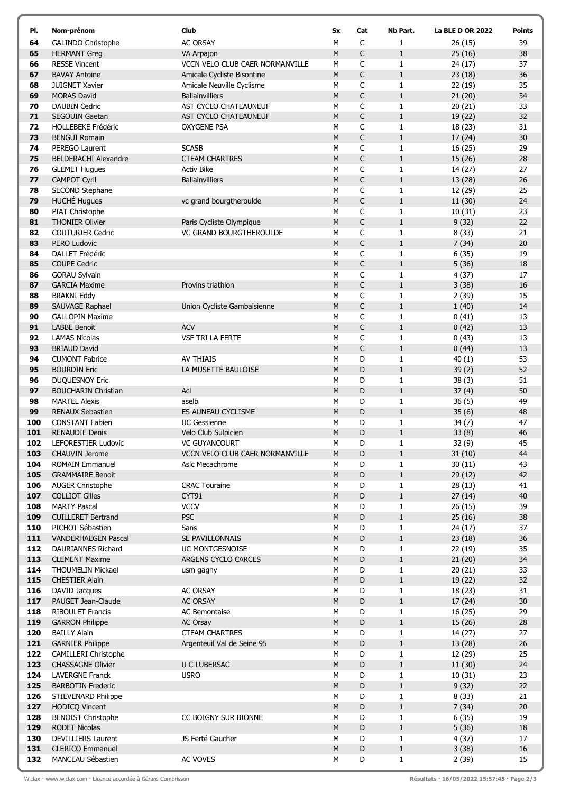| PI.        | Nom-prénom                                        | <b>Club</b>                           | Sx     | Cat          | Nb Part.                     | <b>La BLE D OR 2022</b> | <b>Points</b> |
|------------|---------------------------------------------------|---------------------------------------|--------|--------------|------------------------------|-------------------------|---------------|
| 64         | <b>GALINDO Christophe</b>                         | <b>AC ORSAY</b>                       | М      | C            | 1                            | 26(15)                  | 39            |
| 65         | <b>HERMANT Greg</b>                               | VA Arpajon                            | M      | C            | $1\,$                        | 25(16)                  | 38            |
| 66         | <b>RESSE Vincent</b>                              | VCCN VELO CLUB CAER NORMANVILLE       | М      | $\mathsf{C}$ | $\mathbf{1}$                 | 24(17)                  | 37            |
| 67         | <b>BAVAY Antoine</b>                              | Amicale Cycliste Bisontine            | M      | $\mathsf C$  | $\mathbf 1$                  | 23(18)                  | 36            |
| 68         | <b>JUIGNET Xavier</b>                             | Amicale Neuville Cyclisme             | м      | C            | $\mathbf{1}$                 | 22(19)                  | 35            |
| 69         | <b>MORAS David</b>                                | <b>Ballainvilliers</b>                | М      | $\mathsf C$  | $\mathbf 1$                  | 21(20)                  | 34            |
| 70         | <b>DAUBIN Cedric</b>                              | AST CYCLO CHATEAUNEUF                 | м      | C            | $\mathbf{1}$                 | 20(21)                  | 33            |
| 71         | <b>SEGOUIN Gaetan</b>                             | AST CYCLO CHATEAUNEUF                 | M      | $\mathsf C$  | $1\,$                        | 19 (22)                 | 32            |
| 72         | <b>HOLLEBEKE Frédéric</b>                         | OXYGENE PSA                           | м      | C            | 1                            | 18 (23)                 | 31            |
| 73         | <b>BENGUI Romain</b>                              |                                       | M      | $\mathsf C$  | $\mathbf 1$                  | 17(24)                  | 30            |
| 74         | PEREGO Laurent                                    | <b>SCASB</b>                          | М      | $\mathsf C$  | $\mathbf{1}$                 | 16(25)                  | 29            |
| 75         | <b>BELDERACHI Alexandre</b>                       | <b>CTEAM CHARTRES</b>                 | M      | $\mathsf C$  | $\mathbf 1$                  | 15(26)                  | 28            |
| 76         | <b>GLEMET Hugues</b>                              | <b>Activ Bike</b>                     | м      | C            | $\mathbf{1}$                 | 14 (27)                 | 27            |
| 77         | <b>CAMPOT Cyril</b>                               | <b>Ballainvilliers</b>                | М      | $\mathsf C$  | $\mathbf{1}$                 | 13 (28)                 | 26            |
| 78         | SECOND Stephane                                   |                                       | м      | C            | $\mathbf{1}$                 | 12 (29)                 | 25            |
| 79         | <b>HUCHÉ Hugues</b>                               | vc grand bourgtheroulde               | M      | C            | $1\,$                        | 11 (30)                 | 24            |
| 80         | PIAT Christophe                                   |                                       | М      | C            | $\mathbf{1}$                 | 10(31)                  | 23            |
| 81         | <b>THONIER Olivier</b>                            | Paris Cycliste Olympique              | M      | $\mathsf C$  | $\mathbf 1$                  | 9(32)                   | 22            |
| 82         | <b>COUTURIER Cedric</b>                           | <b>VC GRAND BOURGTHEROULDE</b>        | М      | C            | $\mathbf{1}$                 | 8(33)                   | 21            |
| 83         | PERO Ludovic                                      |                                       | M      | $\mathsf C$  | $\mathbf 1$                  | 7(34)                   | 20            |
| 84         | <b>DALLET Frédéric</b>                            |                                       | М      | C            | $\mathbf{1}$                 | 6(35)                   | 19            |
| 85         | <b>COUPE Cedric</b>                               |                                       | M      | C            | $\mathbf{1}$                 | 5(36)                   | 18            |
| 86         | <b>GORAU Sylvain</b>                              |                                       | м      | C            | $\mathbf{1}$                 | 4(37)                   | 17            |
| 87         | <b>GARCIA Maxime</b>                              | Provins triathlon                     | М      | $\mathsf C$  | $\mathbf{1}$                 | 3(38)                   | 16            |
| 88         | <b>BRAKNI Eddy</b>                                |                                       | M      | $\mathsf C$  | $\mathbf{1}$                 | 2(39)                   | 15            |
| 89         | SAUVAGE Raphael                                   | Union Cycliste Gambaisienne           | M      | $\mathsf C$  | $1\,$                        | 1(40)                   | 14            |
| 90         | <b>GALLOPIN Maxime</b>                            |                                       | М      | C            | $\mathbf{1}$                 | 0(41)                   | 13            |
| 91<br>92   | <b>LABBE Benoit</b>                               | <b>ACV</b><br><b>VSF TRI LA FERTE</b> | M      | C<br>C       | $\mathbf 1$                  | 0(42)                   | 13            |
| 93         | <b>LAMAS Nicolas</b><br><b>BRIAUD David</b>       |                                       | м<br>M | C            | $\mathbf{1}$<br>$\mathbf{1}$ | 0(43)<br>0(44)          | 13<br>13      |
| 94         | <b>CUMONT Fabrice</b>                             | <b>AV THIAIS</b>                      | м      | D            | 1                            | 40(1)                   | 53            |
| 95         | <b>BOURDIN Eric</b>                               | LA MUSETTE BAULOISE                   | M      | D            | $\mathbf 1$                  | 39(2)                   | 52            |
| 96         | <b>DUQUESNOY Eric</b>                             |                                       | М      | D            | $\mathbf{1}$                 | 38(3)                   | 51            |
| 97         | <b>BOUCHARIN Christian</b>                        | Acl                                   | M      | D            | $\mathbf 1$                  | 37(4)                   | 50            |
| 98         | <b>MARTEL Alexis</b>                              | aselb                                 | м      | D            | $\mathbf{1}$                 | 36(5)                   | 49            |
| 99         | <b>RENAUX Sebastien</b>                           | ES AUNEAU CYCLISME                    | М      | D            | $\mathbf{1}$                 | 35(6)                   | 48            |
| 100        | <b>CONSTANT Fabien</b>                            | <b>UC Gessienne</b>                   | м      | D            | 1                            | 34(7)                   | 47            |
| 101        | <b>RENAUDIE Denis</b>                             | Velo Club Sulpicien                   | M      | D            | $\mathbf{1}$                 | 33(8)                   | 46            |
| 102        | LEFORESTIER Ludovic                               | <b>VC GUYANCOURT</b>                  | м      | D            | 1                            | 32 (9)                  | 45            |
| 103        | CHAUVIN Jerome                                    | VCCN VELO CLUB CAER NORMANVILLE       | М      | $\mathsf D$  | $\mathbf{1}$                 | 31(10)                  | 44            |
| 104        | <b>ROMAIN Emmanuel</b>                            | Aslc Mecachrome                       | м      | D            | $\mathbf{1}$                 | 30(11)                  | 43            |
| 105        | <b>GRAMMAIRE Benoit</b>                           |                                       | M      | D            | $\mathbf 1$                  | 29(12)                  | 42            |
| 106        | <b>AUGER Christophe</b>                           | <b>CRAC Touraine</b>                  | М      | D            | $\mathbf{1}$                 | 28(13)                  | 41            |
| 107        | <b>COLLIOT Gilles</b>                             | CYT91                                 | M      | D            | $\mathbf{1}$                 | 27(14)                  | 40            |
| 108        | <b>MARTY Pascal</b>                               | <b>VCCV</b>                           | м      | D            | $\mathbf{1}$                 | 26(15)                  | 39            |
| 109        | <b>CUILLERET Bertrand</b>                         | <b>PSC</b>                            | M      | D            | $\mathbf{1}$                 | 25(16)                  | 38            |
| 110        | PICHOT Sébastien                                  | Sans                                  | M      | D            | $\mathbf{1}$                 | 24 (17)                 | 37            |
| 111        | VANDERHAEGEN Pascal                               | SE PAVILLONNAIS                       | M      | $\mathsf D$  | $\mathbf{1}$                 | 23(18)                  | 36            |
| 112        | DAURIANNES Richard                                | UC MONTGESNOISE                       | М      | D            | $\mathbf{1}$                 | 22(19)                  | 35            |
| 113        | <b>CLEMENT Maxime</b>                             | ARGENS CYCLO CARCES                   | M      | D            | $\mathbf 1$                  | 21(20)                  | 34            |
| 114        | <b>THOUMELIN Mickael</b>                          | usm gagny                             | М      | D            | $\mathbf{1}$                 | 20(21)                  | 33            |
| 115        | CHESTIER Alain                                    |                                       | M      | D            | $\mathbf{1}$                 | 19 (22)                 | 32            |
| 116        | DAVID Jacques                                     | AC ORSAY                              | м      | D            | $\mathbf{1}$                 | 18(23)                  | 31            |
| 117        | PAUGET Jean-Claude                                | AC ORSAY                              | М      | D            | $\mathbf{1}$                 | 17(24)                  | 30            |
| 118        | <b>RIBOULET Francis</b>                           | AC Bemontaise                         | М      | D            | $\mathbf{1}$                 | 16(25)                  | 29            |
| 119        | <b>GARRON Philippe</b>                            | AC Orsay                              | M      | D            | $\mathbf 1$                  | 15(26)                  | 28            |
| 120        | <b>BAILLY Alain</b>                               | <b>CTEAM CHARTRES</b>                 | М      | D            | $\mathbf{1}$                 | 14(27)                  | 27            |
| 121        | <b>GARNIER Philippe</b>                           | Argenteuil Val de Seine 95            | М      | D            | $\mathbf 1$                  | 13 (28)                 | 26            |
| 122        | <b>CAMILLERI Christophe</b>                       |                                       | м      | D            | $\mathbf{1}$                 | 12 (29)                 | 25            |
| 123        | <b>CHASSAGNE Olivier</b>                          | <b>U C LUBERSAC</b>                   | М      | D            | $\mathbf{1}$                 | 11(30)                  | 24            |
| 124        | <b>LAVERGNE Franck</b>                            | <b>USRO</b>                           | м      | D            | $\mathbf{1}$                 | 10(31)                  | 23            |
| 125        | <b>BARBOTIN Frederic</b>                          |                                       | M      | $\mathsf D$  | $\mathbf 1$                  | 9(32)                   | 22            |
| 126        | STIEVENARD Philippe                               |                                       | м      | D            | $\mathbf{1}$                 | 8(33)                   | 21            |
| 127        | <b>HODICQ Vincent</b>                             |                                       | M      | D            | $\mathbf{1}$                 | 7(34)                   | 20            |
| 128<br>129 | <b>BENOIST Christophe</b><br><b>RODET Nicolas</b> | CC BOIGNY SUR BIONNE                  | м<br>M | D<br>D       | $\mathbf{1}$<br>$\mathbf{1}$ | 6(35)<br>5(36)          | 19<br>18      |
| 130        | <b>DEVILLIERS Laurent</b>                         | JS Ferté Gaucher                      | м      | D            | $\mathbf{1}$                 | 4(37)                   | 17            |
| 131        | <b>CLERICO Emmanuel</b>                           |                                       | M      | D            | $1\,$                        | 3(38)                   | 16            |
| 132        | MANCEAU Sébastien                                 | AC VOVES                              | M      | D            | $\mathbf{1}$                 | 2(39)                   | 15            |
|            |                                                   |                                       |        |              |                              |                         |               |